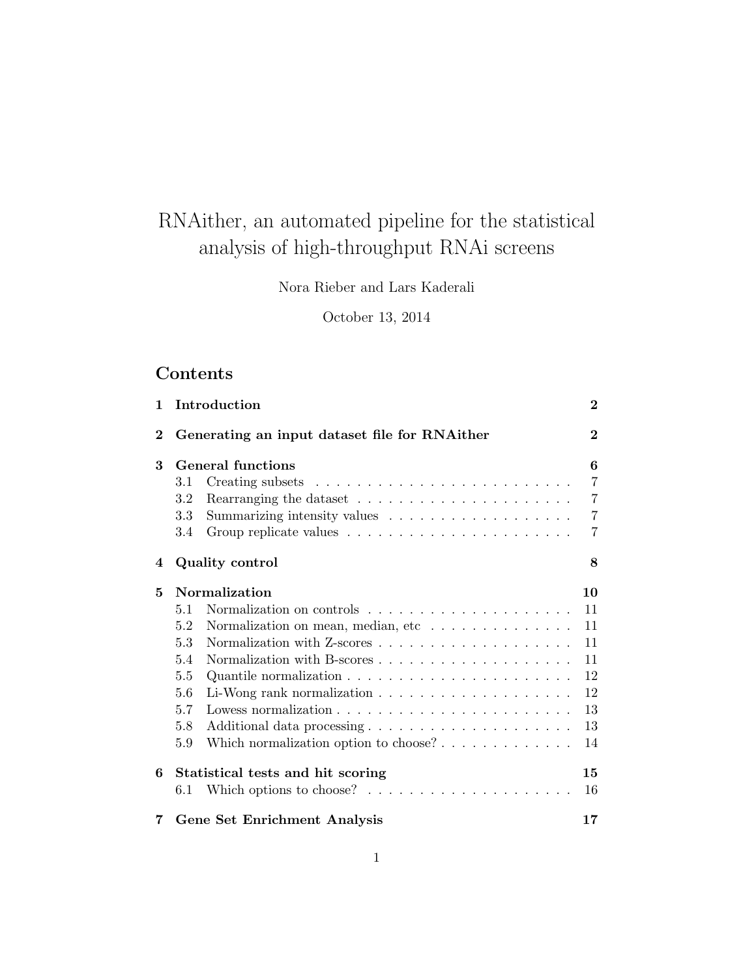# RNAither, an automated pipeline for the statistical analysis of high-throughput RNAi screens

Nora Rieber and Lars Kaderali

October 13, 2014

# Contents

| 1        | Introduction                                                                            | $\overline{2}$ |  |
|----------|-----------------------------------------------------------------------------------------|----------------|--|
| $\bf{2}$ | Generating an input dataset file for RNAither                                           |                |  |
| 3        | <b>General functions</b>                                                                | 6              |  |
|          | 3.1                                                                                     | $\overline{7}$ |  |
|          | 3.2                                                                                     | $\overline{7}$ |  |
|          | 3.3                                                                                     | $\overline{7}$ |  |
|          | 3.4                                                                                     | 7              |  |
| 4        | Quality control                                                                         | 8              |  |
| 5        | Normalization                                                                           | 10             |  |
|          | 5.1                                                                                     | 11             |  |
|          | Normalization on mean, median, etc $\ldots \ldots \ldots \ldots$<br>5.2                 | 11             |  |
|          | 5.3                                                                                     | 11             |  |
|          | 5.4                                                                                     | 11             |  |
|          | 5.5<br>Quantile normalization $\ldots \ldots \ldots \ldots \ldots \ldots \ldots \ldots$ | 12             |  |
|          | 5.6                                                                                     | 12             |  |
|          | 5.7                                                                                     | 13             |  |
|          | 5.8                                                                                     | 13             |  |
|          | Which normalization option to choose? $\ldots$<br>5.9                                   | 14             |  |
| 6        | Statistical tests and hit scoring                                                       | 15             |  |
|          | Which options to choose? $\ldots \ldots \ldots \ldots \ldots \ldots \ldots$<br>6.1      | 16             |  |
| 7.       | <b>Gene Set Enrichment Analysis</b>                                                     | 17             |  |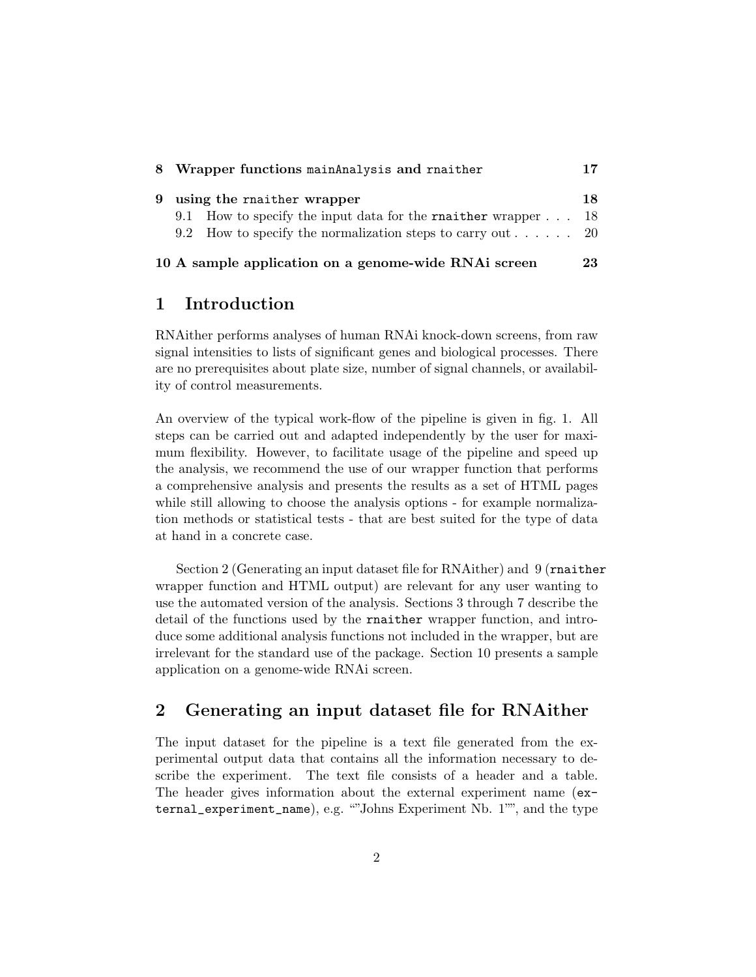|                                                      | 8 Wrapper functions main Analysis and rnaither                            | 17 |  |
|------------------------------------------------------|---------------------------------------------------------------------------|----|--|
| 9 using the rnaither wrapper                         |                                                                           |    |  |
| 9.1                                                  | How to specify the input data for the <b>rnaither</b> wrapper $\ldots$ 18 |    |  |
|                                                      | 9.2 How to specify the normalization steps to carry out $\ldots$ 20       |    |  |
| 10 A sample application on a genome-wide RNAi screen |                                                                           |    |  |

# 1 Introduction

RNAither performs analyses of human RNAi knock-down screens, from raw signal intensities to lists of significant genes and biological processes. There are no prerequisites about plate size, number of signal channels, or availability of control measurements.

An overview of the typical work-flow of the pipeline is given in fig. 1. All steps can be carried out and adapted independently by the user for maximum flexibility. However, to facilitate usage of the pipeline and speed up the analysis, we recommend the use of our wrapper function that performs a comprehensive analysis and presents the results as a set of HTML pages while still allowing to choose the analysis options - for example normalization methods or statistical tests - that are best suited for the type of data at hand in a concrete case.

Section 2 (Generating an input dataset file for RNAither) and 9 (rnaither wrapper function and HTML output) are relevant for any user wanting to use the automated version of the analysis. Sections 3 through 7 describe the detail of the functions used by the rnaither wrapper function, and introduce some additional analysis functions not included in the wrapper, but are irrelevant for the standard use of the package. Section 10 presents a sample application on a genome-wide RNAi screen.

# 2 Generating an input dataset file for RNAither

The input dataset for the pipeline is a text file generated from the experimental output data that contains all the information necessary to describe the experiment. The text file consists of a header and a table. The header gives information about the external experiment name (external\_experiment\_name), e.g. ""Johns Experiment Nb. 1"", and the type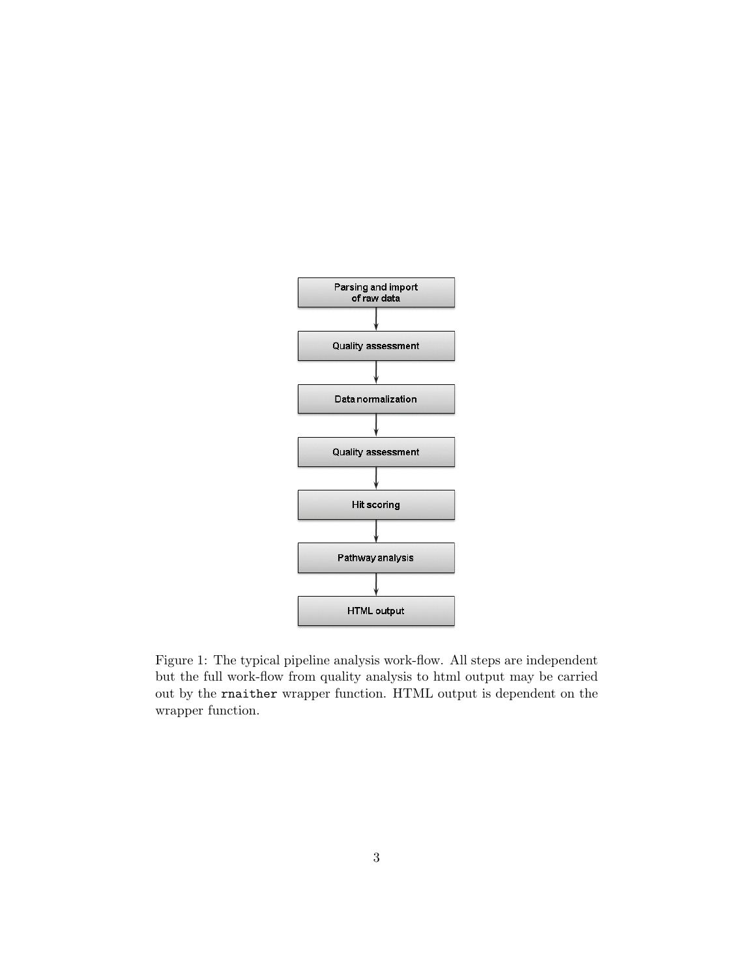

Figure 1: The typical pipeline analysis work-flow. All steps are independent but the full work-flow from quality analysis to html output may be carried out by the rnaither wrapper function. HTML output is dependent on the wrapper function.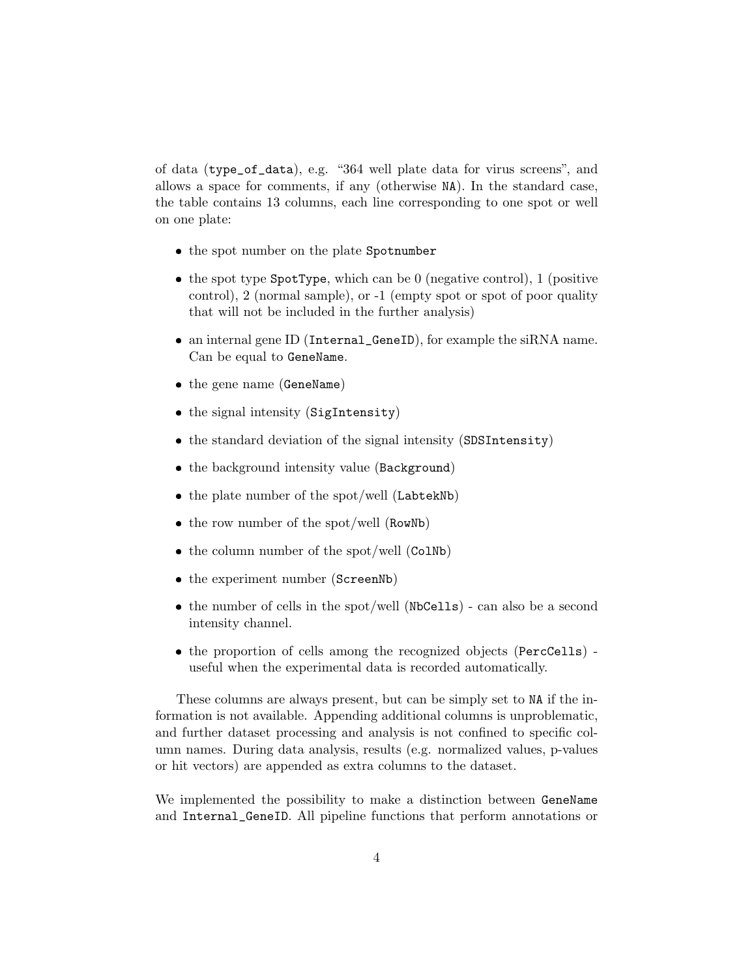of data (type\_of\_data), e.g. "364 well plate data for virus screens", and allows a space for comments, if any (otherwise NA). In the standard case, the table contains 13 columns, each line corresponding to one spot or well on one plate:

- the spot number on the plate Spotnumber
- $\bullet$  the spot type SpotType, which can be 0 (negative control), 1 (positive control), 2 (normal sample), or -1 (empty spot or spot of poor quality that will not be included in the further analysis)
- an internal gene ID (Internal\_GeneID), for example the siRNA name. Can be equal to GeneName.
- the gene name (GeneName)
- the signal intensity (SigIntensity)
- the standard deviation of the signal intensity (SDSIntensity)
- the background intensity value (Background)
- $\bullet$  the plate number of the spot/well (LabtekNb)
- $\bullet$  the row number of the spot/well (RowNb)
- the column number of the spot/well (ColNb)
- the experiment number (ScreenNb)
- the number of cells in the spot/well (NbCells) can also be a second intensity channel.
- the proportion of cells among the recognized objects (PercCells) useful when the experimental data is recorded automatically.

These columns are always present, but can be simply set to NA if the information is not available. Appending additional columns is unproblematic, and further dataset processing and analysis is not confined to specific column names. During data analysis, results (e.g. normalized values, p-values or hit vectors) are appended as extra columns to the dataset.

We implemented the possibility to make a distinction between GeneName and Internal\_GeneID. All pipeline functions that perform annotations or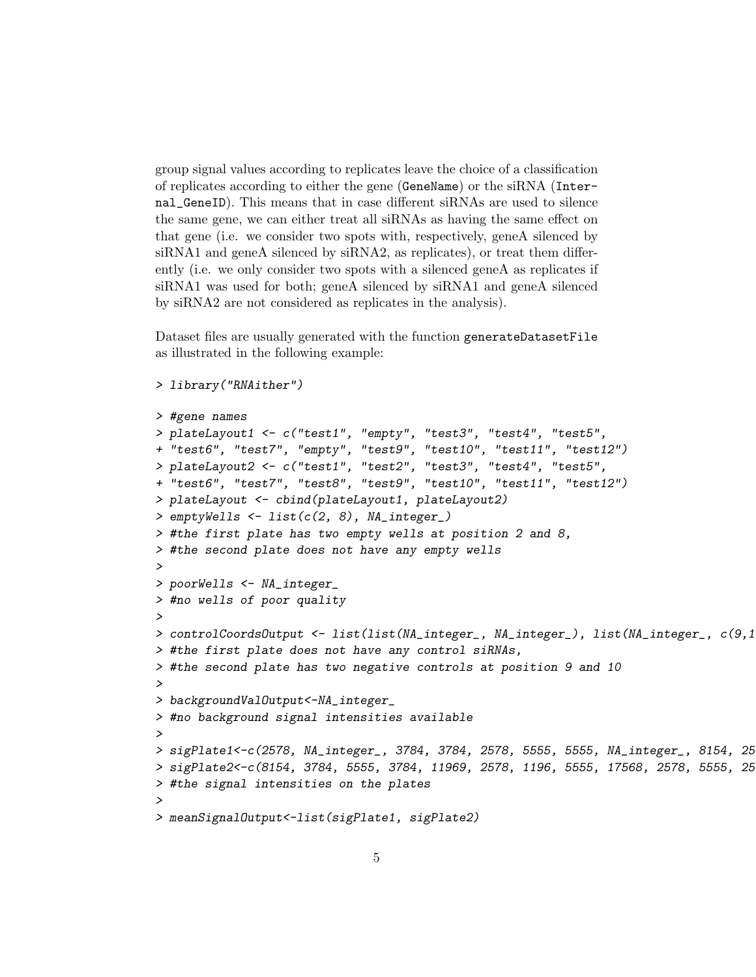group signal values according to replicates leave the choice of a classification of replicates according to either the gene (GeneName) or the siRNA (Internal\_GeneID). This means that in case different siRNAs are used to silence the same gene, we can either treat all siRNAs as having the same effect on that gene (i.e. we consider two spots with, respectively, geneA silenced by  $siRNA1$  and geneA silenced by  $siRNA2$ , as replicates), or treat them differently (i.e. we only consider two spots with a silenced geneA as replicates if siRNA1 was used for both; geneA silenced by siRNA1 and geneA silenced by siRNA2 are not considered as replicates in the analysis).

Dataset files are usually generated with the function generateDatasetFile as illustrated in the following example:

```
> library("RNAither")
```

```
> #gene names
> plateLayout1 <- c("test1", "empty", "test3", "test4", "test5",
+ "test6", "test7", "empty", "test9", "test10", "test11", "test12")
> plateLayout2 <- c("test1", "test2", "test3", "test4", "test5",
+ "test6", "test7", "test8", "test9", "test10", "test11", "test12")
> plateLayout <- cbind(plateLayout1, plateLayout2)
> emptyWells <- list(c(2, 8), NA_integer_)
> #the first plate has two empty wells at position 2 and 8,
> #the second plate does not have any empty wells
>
> poorWells <- NA_integer_
> #no wells of poor quality
>
> controlCoordsOutput <- list(list(NA_integer_, NA_integer_), list(NA_integer_, c(9,10)))
> #the first plate does not have any control siRNAs,
> #the second plate has two negative controls at position 9 and 10
>
> backgroundValOutput<-NA_integer_
> #no background signal intensities available
>
> sigPlate1<-c(2578, NA_integer_, 3784, 3784, 2578, 5555, 5555, NA_integer_, 8154, 2578, 3784, 2578)
> sigPlate2<-c(8154, 3784, 5555, 3784, 11969, 2578, 1196, 5555, 17568, 2578, 5555, 2578)
> #the signal intensities on the plates
>
> meanSignalOutput<-list(sigPlate1, sigPlate2)
```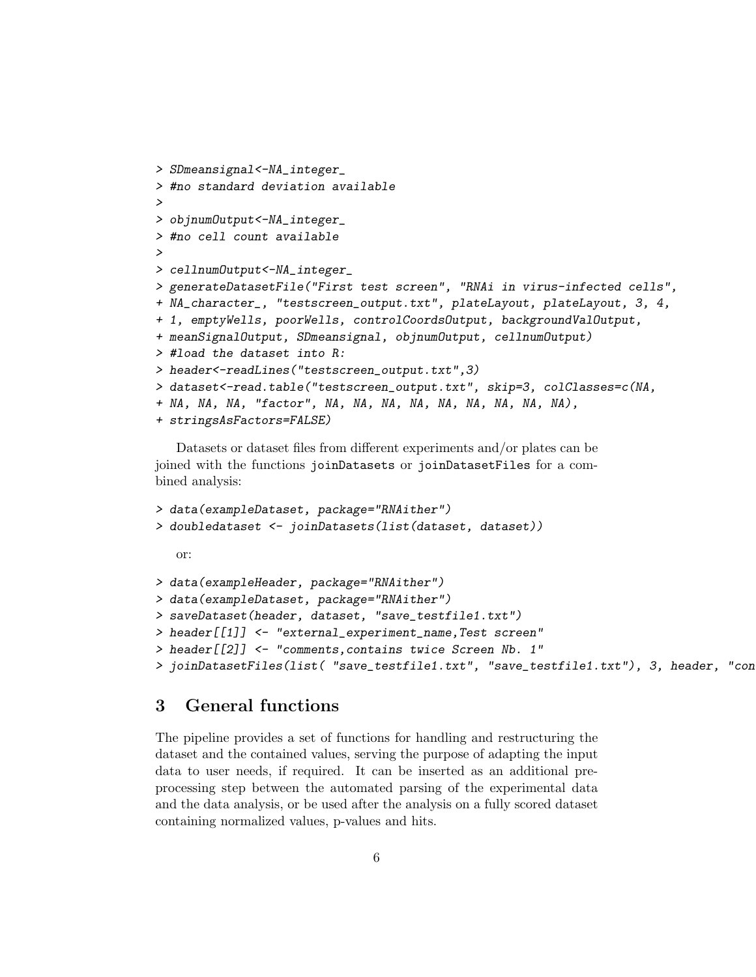```
> SDmeansignal<-NA_integer_
> #no standard deviation available
>
> objnumOutput<-NA_integer_
> #no cell count available
>
> cellnumOutput<-NA_integer_
> generateDatasetFile("First test screen", "RNAi in virus-infected cells",
+ NA_character_, "testscreen_output.txt", plateLayout, plateLayout, 3, 4,
+ 1, emptyWells, poorWells, controlCoordsOutput, backgroundValOutput,
+ meanSignalOutput, SDmeansignal, objnumOutput, cellnumOutput)
> #load the dataset into R:
> header<-readLines("testscreen_output.txt",3)
> dataset<-read.table("testscreen_output.txt", skip=3, colClasses=c(NA,
+ NA, NA, NA, "factor", NA, NA, NA, NA, NA, NA, NA, NA, NA),
+ stringsAsFactors=FALSE)
```
Datasets or dataset files from different experiments and/or plates can be joined with the functions joinDatasets or joinDatasetFiles for a combined analysis:

```
> data(exampleDataset, package="RNAither")
> doubledataset <- joinDatasets(list(dataset, dataset))
   or:
> data(exampleHeader, package="RNAither")
> data(exampleDataset, package="RNAither")
> saveDataset(header, dataset, "save_testfile1.txt")
> header[[1]] <- "external_experiment_name,Test screen"
> header[[2]] <- "comments,contains twice Screen Nb. 1"
> joinDatasetFiles(list( "save_testfile1.txt", "save_testfile1.txt"), 3, header, "con
```
# 3 General functions

The pipeline provides a set of functions for handling and restructuring the dataset and the contained values, serving the purpose of adapting the input data to user needs, if required. It can be inserted as an additional preprocessing step between the automated parsing of the experimental data and the data analysis, or be used after the analysis on a fully scored dataset containing normalized values, p-values and hits.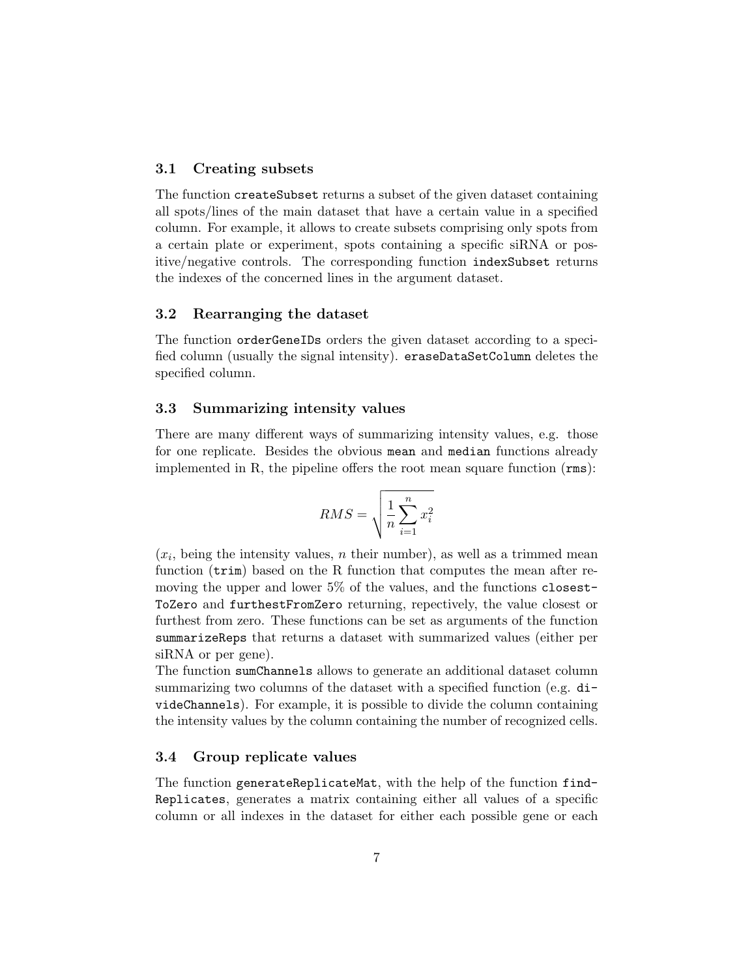#### 3.1 Creating subsets

The function createSubset returns a subset of the given dataset containing all spots/lines of the main dataset that have a certain value in a specified column. For example, it allows to create subsets comprising only spots from a certain plate or experiment, spots containing a specific siRNA or positive/negative controls. The corresponding function indexSubset returns the indexes of the concerned lines in the argument dataset.

#### 3.2 Rearranging the dataset

The function orderGeneIDs orders the given dataset according to a specified column (usually the signal intensity). eraseDataSetColumn deletes the specified column.

#### 3.3 Summarizing intensity values

There are many different ways of summarizing intensity values, e.g. those for one replicate. Besides the obvious mean and median functions already implemented in R, the pipeline offers the root mean square function (rms):

$$
RMS = \sqrt{\frac{1}{n} \sum_{i=1}^{n} x_i^2}
$$

 $(x_i)$ , being the intensity values, n their number), as well as a trimmed mean function (trim) based on the R function that computes the mean after removing the upper and lower 5% of the values, and the functions closest-ToZero and furthestFromZero returning, repectively, the value closest or furthest from zero. These functions can be set as arguments of the function summarizeReps that returns a dataset with summarized values (either per siRNA or per gene).

The function sumChannels allows to generate an additional dataset column summarizing two columns of the dataset with a specified function (e.g. divideChannels). For example, it is possible to divide the column containing the intensity values by the column containing the number of recognized cells.

#### 3.4 Group replicate values

The function generateReplicateMat, with the help of the function find-Replicates, generates a matrix containing either all values of a specific column or all indexes in the dataset for either each possible gene or each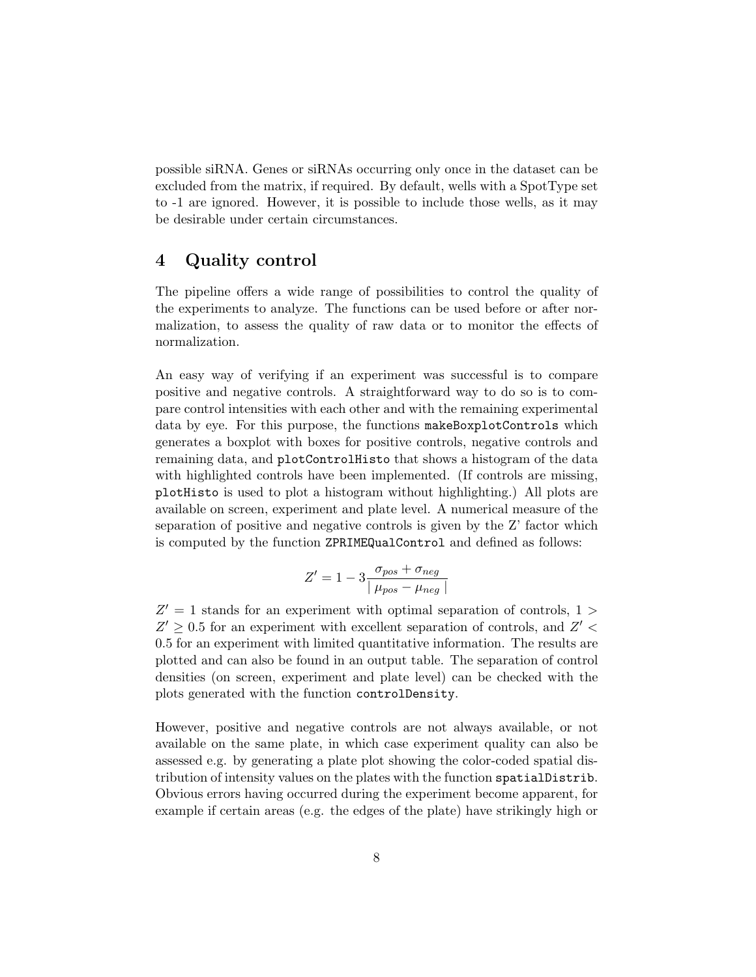possible siRNA. Genes or siRNAs occurring only once in the dataset can be excluded from the matrix, if required. By default, wells with a SpotType set to -1 are ignored. However, it is possible to include those wells, as it may be desirable under certain circumstances.

### 4 Quality control

The pipeline offers a wide range of possibilities to control the quality of the experiments to analyze. The functions can be used before or after normalization, to assess the quality of raw data or to monitor the effects of normalization.

An easy way of verifying if an experiment was successful is to compare positive and negative controls. A straightforward way to do so is to compare control intensities with each other and with the remaining experimental data by eye. For this purpose, the functions makeBoxplotControls which generates a boxplot with boxes for positive controls, negative controls and remaining data, and plotControlHisto that shows a histogram of the data with highlighted controls have been implemented. (If controls are missing, plotHisto is used to plot a histogram without highlighting.) All plots are available on screen, experiment and plate level. A numerical measure of the separation of positive and negative controls is given by the Z' factor which is computed by the function ZPRIMEQualControl and defined as follows:

$$
Z' = 1 - 3\frac{\sigma_{pos} + \sigma_{neg}}{|\mu_{pos} - \mu_{neg}|}
$$

 $Z' = 1$  stands for an experiment with optimal separation of controls,  $1 >$  $Z' \geq 0.5$  for an experiment with excellent separation of controls, and  $Z' <$ 0.5 for an experiment with limited quantitative information. The results are plotted and can also be found in an output table. The separation of control densities (on screen, experiment and plate level) can be checked with the plots generated with the function controlDensity.

However, positive and negative controls are not always available, or not available on the same plate, in which case experiment quality can also be assessed e.g. by generating a plate plot showing the color-coded spatial distribution of intensity values on the plates with the function spatialDistrib. Obvious errors having occurred during the experiment become apparent, for example if certain areas (e.g. the edges of the plate) have strikingly high or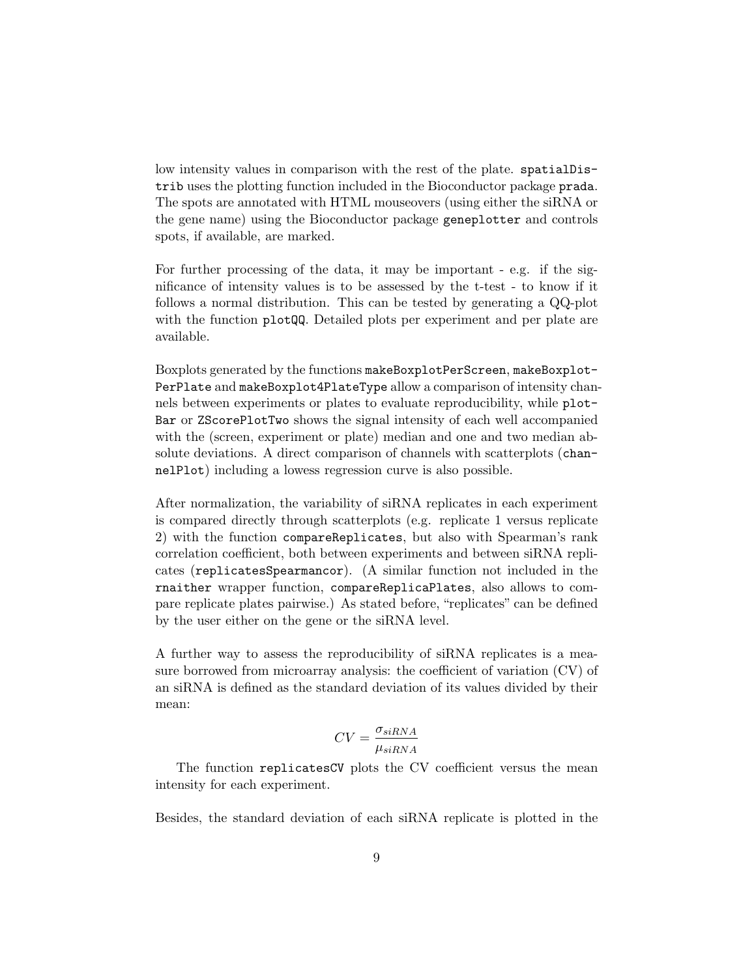low intensity values in comparison with the rest of the plate. spatialDistrib uses the plotting function included in the Bioconductor package prada. The spots are annotated with HTML mouseovers (using either the siRNA or the gene name) using the Bioconductor package geneplotter and controls spots, if available, are marked.

For further processing of the data, it may be important - e.g. if the significance of intensity values is to be assessed by the t-test - to know if it follows a normal distribution. This can be tested by generating a QQ-plot with the function plotQQ. Detailed plots per experiment and per plate are available.

Boxplots generated by the functions makeBoxplotPerScreen, makeBoxplot-PerPlate and makeBoxplot4PlateType allow a comparison of intensity channels between experiments or plates to evaluate reproducibility, while plot-Bar or ZScorePlotTwo shows the signal intensity of each well accompanied with the (screen, experiment or plate) median and one and two median absolute deviations. A direct comparison of channels with scatterplots (channelPlot) including a lowess regression curve is also possible.

After normalization, the variability of siRNA replicates in each experiment is compared directly through scatterplots (e.g. replicate 1 versus replicate 2) with the function compareReplicates, but also with Spearman's rank correlation coefficient, both between experiments and between siRNA replicates (replicatesSpearmancor). (A similar function not included in the rnaither wrapper function, compareReplicaPlates, also allows to compare replicate plates pairwise.) As stated before, "replicates" can be defined by the user either on the gene or the siRNA level.

A further way to assess the reproducibility of siRNA replicates is a measure borrowed from microarray analysis: the coefficient of variation (CV) of an siRNA is defined as the standard deviation of its values divided by their mean:

$$
CV = \frac{\sigma_{siRNA}}{\mu_{siRNA}}
$$

The function replicatesCV plots the CV coefficient versus the mean intensity for each experiment.

Besides, the standard deviation of each siRNA replicate is plotted in the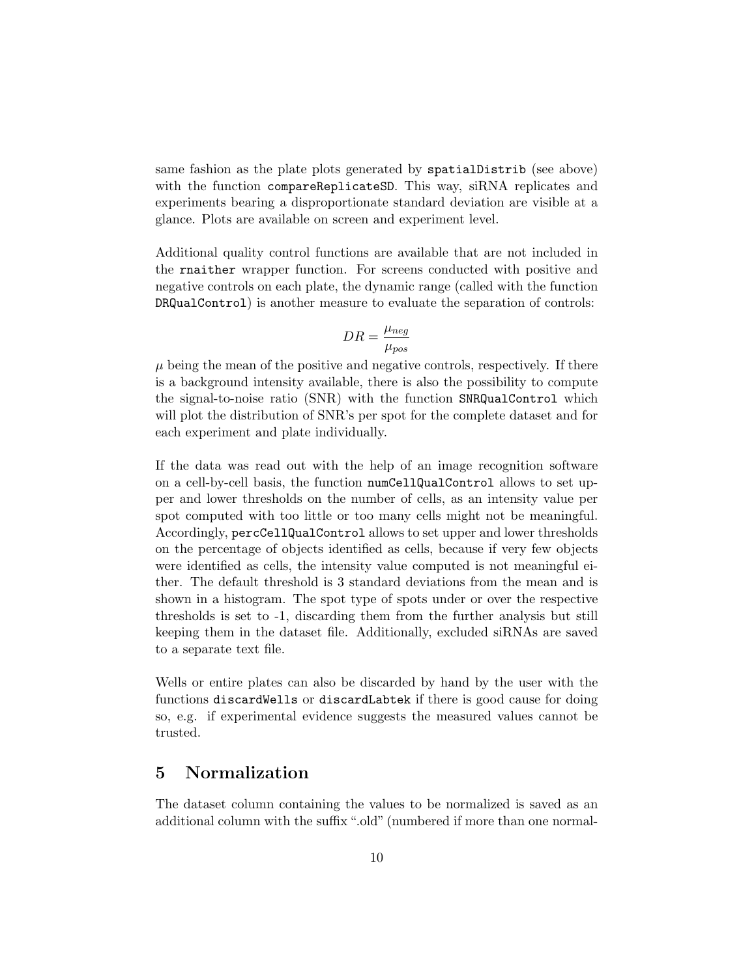same fashion as the plate plots generated by spatialDistrib (see above) with the function compareReplicateSD. This way, siRNA replicates and experiments bearing a disproportionate standard deviation are visible at a glance. Plots are available on screen and experiment level.

Additional quality control functions are available that are not included in the rnaither wrapper function. For screens conducted with positive and negative controls on each plate, the dynamic range (called with the function DRQualControl) is another measure to evaluate the separation of controls:

$$
DR = \frac{\mu_{neg}}{\mu_{pos}}
$$

 $\mu$  being the mean of the positive and negative controls, respectively. If there is a background intensity available, there is also the possibility to compute the signal-to-noise ratio (SNR) with the function SNRQualControl which will plot the distribution of SNR's per spot for the complete dataset and for each experiment and plate individually.

If the data was read out with the help of an image recognition software on a cell-by-cell basis, the function numCellQualControl allows to set upper and lower thresholds on the number of cells, as an intensity value per spot computed with too little or too many cells might not be meaningful. Accordingly, percCellQualControl allows to set upper and lower thresholds on the percentage of objects identified as cells, because if very few objects were identified as cells, the intensity value computed is not meaningful either. The default threshold is 3 standard deviations from the mean and is shown in a histogram. The spot type of spots under or over the respective thresholds is set to -1, discarding them from the further analysis but still keeping them in the dataset file. Additionally, excluded siRNAs are saved to a separate text file.

Wells or entire plates can also be discarded by hand by the user with the functions discardWells or discardLabtek if there is good cause for doing so, e.g. if experimental evidence suggests the measured values cannot be trusted.

# 5 Normalization

The dataset column containing the values to be normalized is saved as an additional column with the suffix ".old" (numbered if more than one normal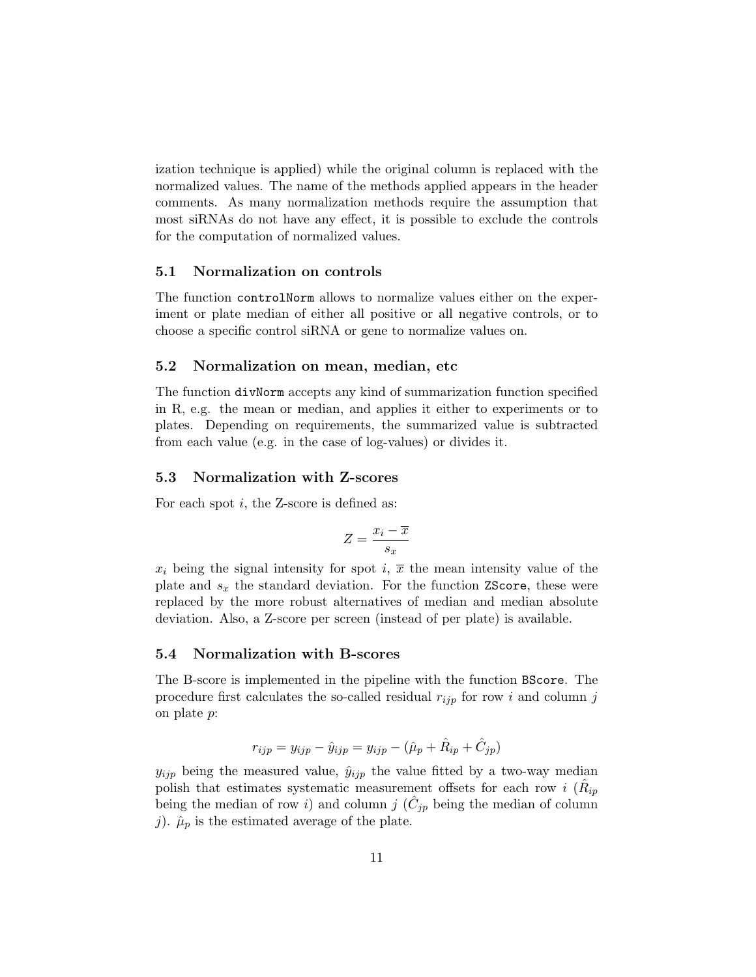ization technique is applied) while the original column is replaced with the normalized values. The name of the methods applied appears in the header comments. As many normalization methods require the assumption that most siRNAs do not have any effect, it is possible to exclude the controls for the computation of normalized values.

#### 5.1 Normalization on controls

The function controlNorm allows to normalize values either on the experiment or plate median of either all positive or all negative controls, or to choose a specific control siRNA or gene to normalize values on.

#### 5.2 Normalization on mean, median, etc

The function divNorm accepts any kind of summarization function specified in R, e.g. the mean or median, and applies it either to experiments or to plates. Depending on requirements, the summarized value is subtracted from each value (e.g. in the case of log-values) or divides it.

#### 5.3 Normalization with Z-scores

For each spot *i*, the Z-score is defined as:

$$
Z = \frac{x_i - \overline{x}}{s_x}
$$

 $x_i$  being the signal intensity for spot i,  $\bar{x}$  the mean intensity value of the plate and  $s_x$  the standard deviation. For the function ZScore, these were replaced by the more robust alternatives of median and median absolute deviation. Also, a Z-score per screen (instead of per plate) is available.

#### 5.4 Normalization with B-scores

The B-score is implemented in the pipeline with the function BScore. The procedure first calculates the so-called residual  $r_{ijp}$  for row i and column j on plate p:

$$
r_{ijp} = y_{ijp} - \hat{y}_{ijp} = y_{ijp} - (\hat{\mu}_p + \hat{R}_{ip} + \hat{C}_{jp})
$$

 $y_{ijp}$  being the measured value,  $\hat{y}_{ijp}$  the value fitted by a two-way median polish that estimates systematic measurement offsets for each row i  $(\hat{R}_{ip})$ being the median of row i) and column j  $(\hat{C}_{jp})$  being the median of column j).  $\hat{\mu}_p$  is the estimated average of the plate.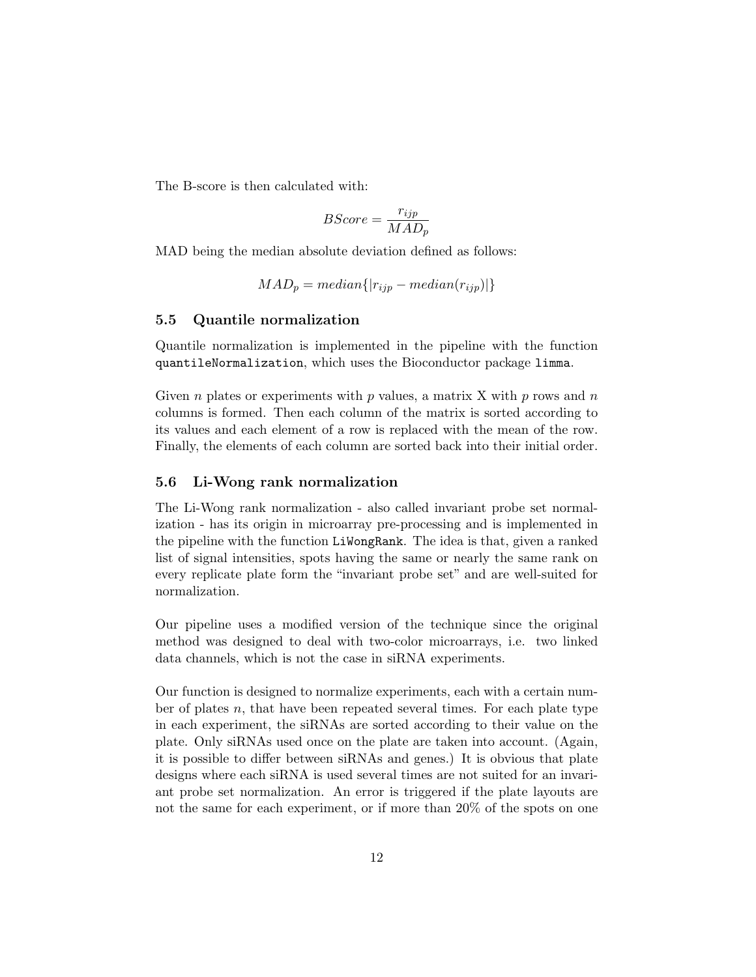The B-score is then calculated with:

$$
BScore = \frac{r_{ijp}}{MAD_p}
$$

MAD being the median absolute deviation defined as follows:

$$
MAD_p = median{r_{ijp} - median(r_{ijp})}
$$

#### 5.5 Quantile normalization

Quantile normalization is implemented in the pipeline with the function quantileNormalization, which uses the Bioconductor package limma.

Given n plates or experiments with p values, a matrix X with p rows and  $n$ columns is formed. Then each column of the matrix is sorted according to its values and each element of a row is replaced with the mean of the row. Finally, the elements of each column are sorted back into their initial order.

#### 5.6 Li-Wong rank normalization

The Li-Wong rank normalization - also called invariant probe set normalization - has its origin in microarray pre-processing and is implemented in the pipeline with the function LiWongRank. The idea is that, given a ranked list of signal intensities, spots having the same or nearly the same rank on every replicate plate form the "invariant probe set" and are well-suited for normalization.

Our pipeline uses a modified version of the technique since the original method was designed to deal with two-color microarrays, i.e. two linked data channels, which is not the case in siRNA experiments.

Our function is designed to normalize experiments, each with a certain number of plates  $n$ , that have been repeated several times. For each plate type in each experiment, the siRNAs are sorted according to their value on the plate. Only siRNAs used once on the plate are taken into account. (Again, it is possible to differ between siRNAs and genes.) It is obvious that plate designs where each siRNA is used several times are not suited for an invariant probe set normalization. An error is triggered if the plate layouts are not the same for each experiment, or if more than 20% of the spots on one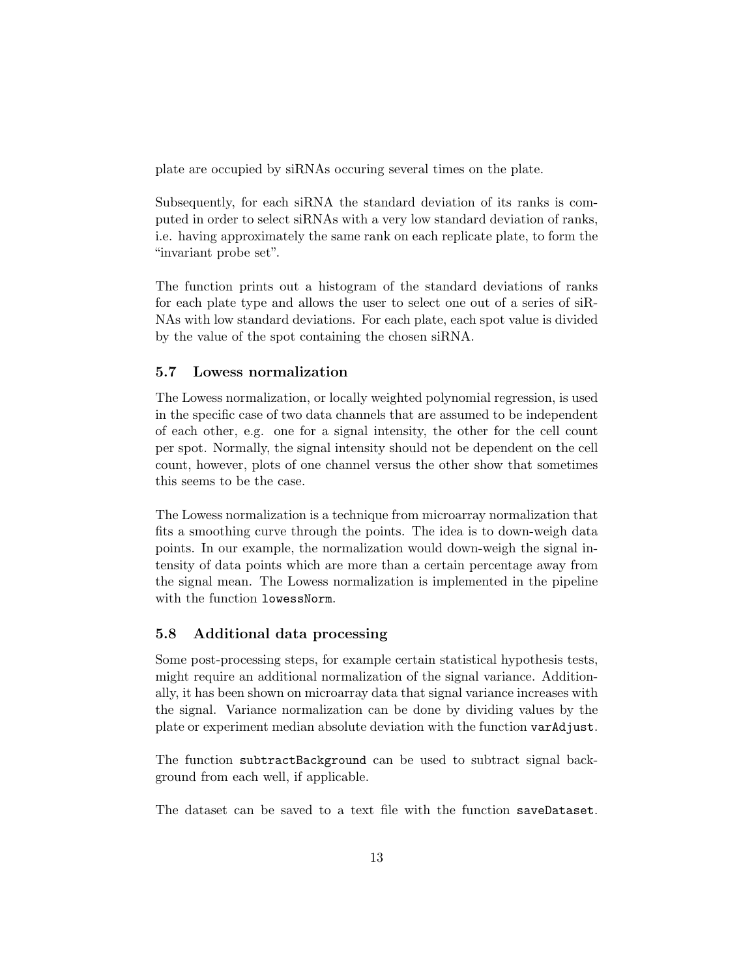plate are occupied by siRNAs occuring several times on the plate.

Subsequently, for each siRNA the standard deviation of its ranks is computed in order to select siRNAs with a very low standard deviation of ranks, i.e. having approximately the same rank on each replicate plate, to form the "invariant probe set".

The function prints out a histogram of the standard deviations of ranks for each plate type and allows the user to select one out of a series of siR-NAs with low standard deviations. For each plate, each spot value is divided by the value of the spot containing the chosen siRNA.

#### 5.7 Lowess normalization

The Lowess normalization, or locally weighted polynomial regression, is used in the specific case of two data channels that are assumed to be independent of each other, e.g. one for a signal intensity, the other for the cell count per spot. Normally, the signal intensity should not be dependent on the cell count, however, plots of one channel versus the other show that sometimes this seems to be the case.

The Lowess normalization is a technique from microarray normalization that fits a smoothing curve through the points. The idea is to down-weigh data points. In our example, the normalization would down-weigh the signal intensity of data points which are more than a certain percentage away from the signal mean. The Lowess normalization is implemented in the pipeline with the function lowessNorm.

### 5.8 Additional data processing

Some post-processing steps, for example certain statistical hypothesis tests, might require an additional normalization of the signal variance. Additionally, it has been shown on microarray data that signal variance increases with the signal. Variance normalization can be done by dividing values by the plate or experiment median absolute deviation with the function varAdjust.

The function subtractBackground can be used to subtract signal background from each well, if applicable.

The dataset can be saved to a text file with the function saveDataset.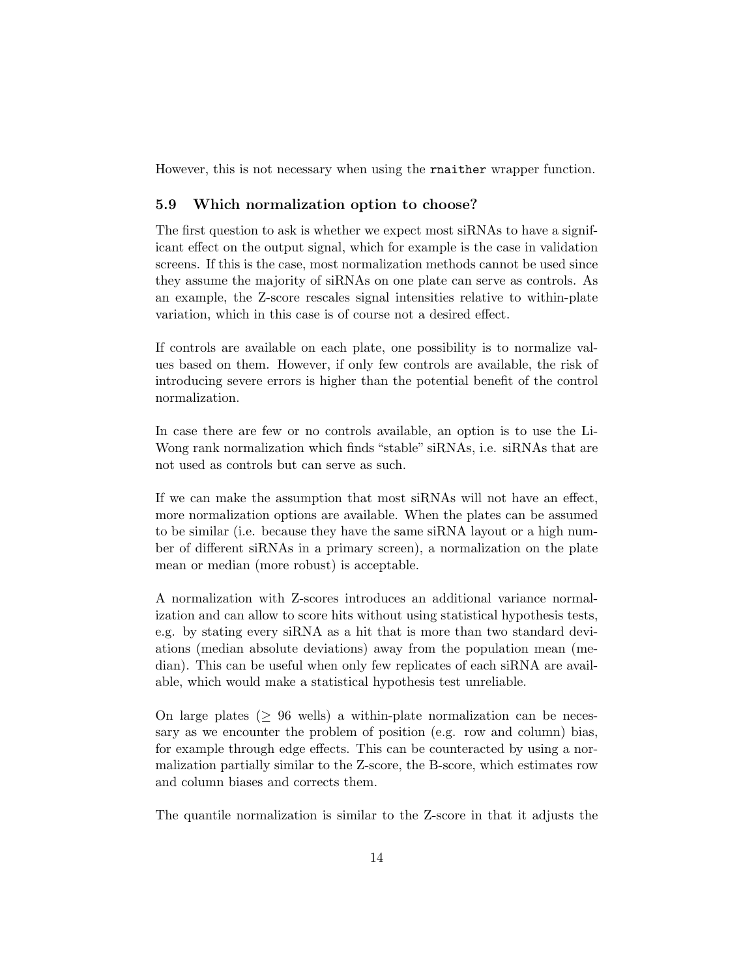However, this is not necessary when using the rnaither wrapper function.

#### 5.9 Which normalization option to choose?

The first question to ask is whether we expect most siRNAs to have a significant effect on the output signal, which for example is the case in validation screens. If this is the case, most normalization methods cannot be used since they assume the majority of siRNAs on one plate can serve as controls. As an example, the Z-score rescales signal intensities relative to within-plate variation, which in this case is of course not a desired effect.

If controls are available on each plate, one possibility is to normalize values based on them. However, if only few controls are available, the risk of introducing severe errors is higher than the potential benefit of the control normalization.

In case there are few or no controls available, an option is to use the Li-Wong rank normalization which finds "stable" siRNAs, i.e. siRNAs that are not used as controls but can serve as such.

If we can make the assumption that most siRNAs will not have an effect, more normalization options are available. When the plates can be assumed to be similar (i.e. because they have the same siRNA layout or a high number of different siRNAs in a primary screen), a normalization on the plate mean or median (more robust) is acceptable.

A normalization with Z-scores introduces an additional variance normalization and can allow to score hits without using statistical hypothesis tests, e.g. by stating every siRNA as a hit that is more than two standard deviations (median absolute deviations) away from the population mean (median). This can be useful when only few replicates of each siRNA are available, which would make a statistical hypothesis test unreliable.

On large plates  $(> 96$  wells) a within-plate normalization can be necessary as we encounter the problem of position (e.g. row and column) bias, for example through edge effects. This can be counteracted by using a normalization partially similar to the Z-score, the B-score, which estimates row and column biases and corrects them.

The quantile normalization is similar to the Z-score in that it adjusts the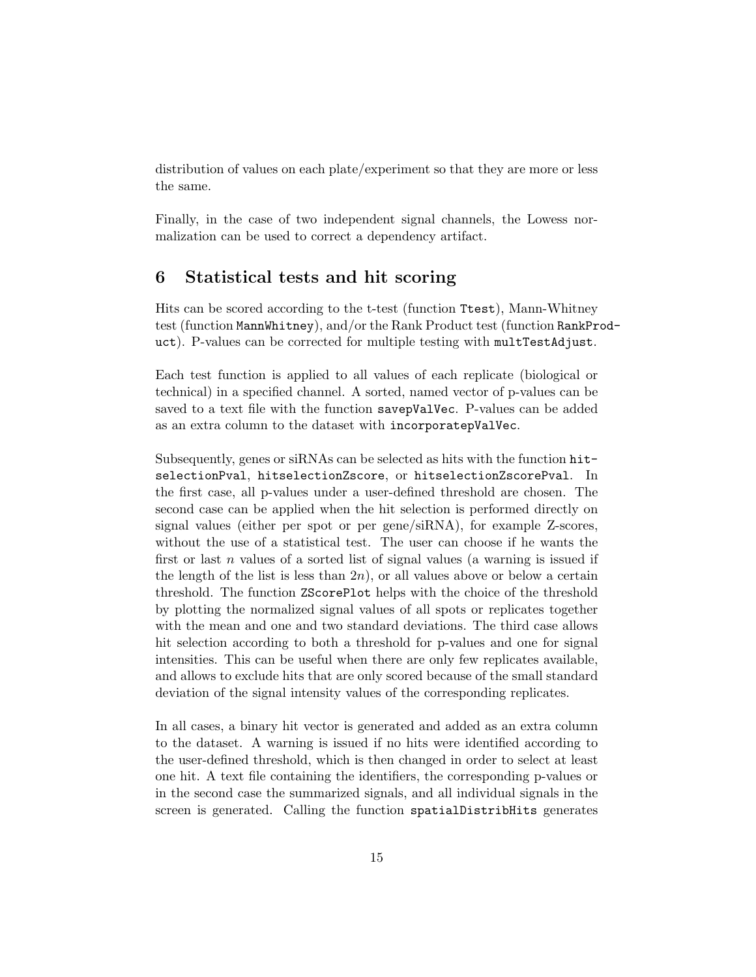distribution of values on each plate/experiment so that they are more or less the same.

Finally, in the case of two independent signal channels, the Lowess normalization can be used to correct a dependency artifact.

### 6 Statistical tests and hit scoring

Hits can be scored according to the t-test (function Ttest), Mann-Whitney test (function MannWhitney), and/or the Rank Product test (function RankProduct). P-values can be corrected for multiple testing with multTestAdjust.

Each test function is applied to all values of each replicate (biological or technical) in a specified channel. A sorted, named vector of p-values can be saved to a text file with the function savepValVec. P-values can be added as an extra column to the dataset with incorporatepValVec.

Subsequently, genes or siRNAs can be selected as hits with the function hitselectionPval, hitselectionZscore, or hitselectionZscorePval. In the first case, all p-values under a user-defined threshold are chosen. The second case can be applied when the hit selection is performed directly on signal values (either per spot or per gene/siRNA), for example Z-scores, without the use of a statistical test. The user can choose if he wants the first or last n values of a sorted list of signal values (a warning is issued if the length of the list is less than  $2n$ , or all values above or below a certain threshold. The function ZScorePlot helps with the choice of the threshold by plotting the normalized signal values of all spots or replicates together with the mean and one and two standard deviations. The third case allows hit selection according to both a threshold for p-values and one for signal intensities. This can be useful when there are only few replicates available, and allows to exclude hits that are only scored because of the small standard deviation of the signal intensity values of the corresponding replicates.

In all cases, a binary hit vector is generated and added as an extra column to the dataset. A warning is issued if no hits were identified according to the user-defined threshold, which is then changed in order to select at least one hit. A text file containing the identifiers, the corresponding p-values or in the second case the summarized signals, and all individual signals in the screen is generated. Calling the function spatialDistribHits generates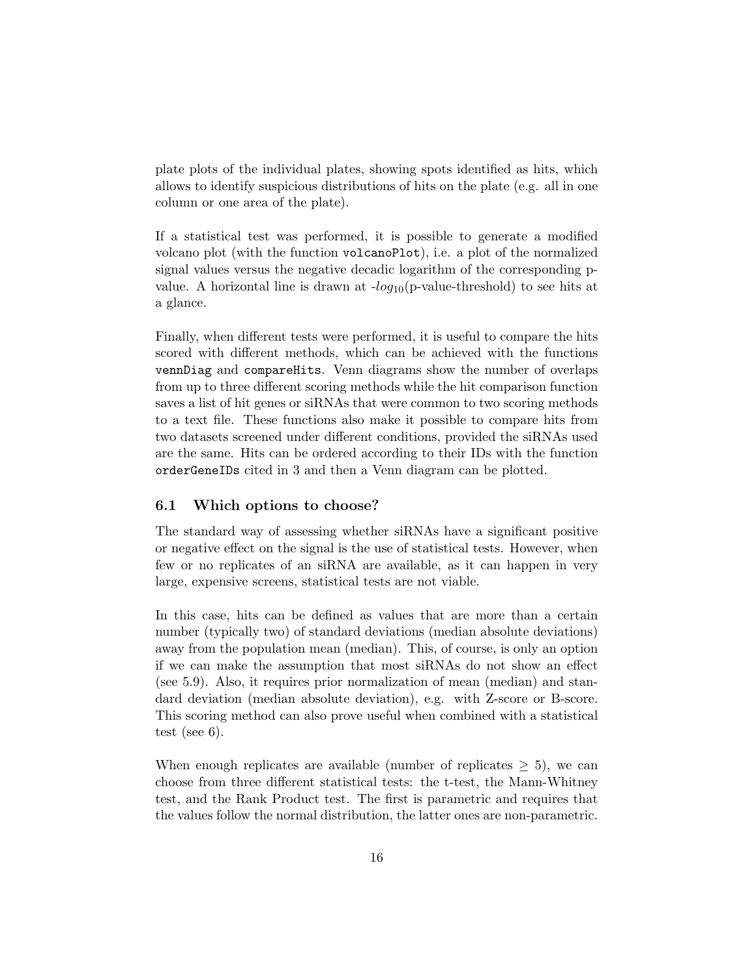plate plots of the individual plates, showing spots identified as hits, which allows to identify suspicious distributions of hits on the plate (e.g. all in one column or one area of the plate).

If a statistical test was performed, it is possible to generate a modified volcano plot (with the function volcanoPlot), i.e. a plot of the normalized signal values versus the negative decadic logarithm of the corresponding pvalue. A horizontal line is drawn at  $-log_{10}(p-value{\text -}threshold)$  to see hits at a glance.

Finally, when different tests were performed, it is useful to compare the hits scored with different methods, which can be achieved with the functions vennDiag and compareHits. Venn diagrams show the number of overlaps from up to three different scoring methods while the hit comparison function saves a list of hit genes or siRNAs that were common to two scoring methods to a text file. These functions also make it possible to compare hits from two datasets screened under different conditions, provided the siRNAs used are the same. Hits can be ordered according to their IDs with the function orderGeneIDs cited in 3 and then a Venn diagram can be plotted.

#### 6.1 Which options to choose?

The standard way of assessing whether siRNAs have a significant positive or negative effect on the signal is the use of statistical tests. However, when few or no replicates of an siRNA are available, as it can happen in very large, expensive screens, statistical tests are not viable.

In this case, hits can be defined as values that are more than a certain number (typically two) of standard deviations (median absolute deviations) away from the population mean (median). This, of course, is only an option if we can make the assumption that most siRNAs do not show an effect (see 5.9). Also, it requires prior normalization of mean (median) and standard deviation (median absolute deviation), e.g. with Z-score or B-score. This scoring method can also prove useful when combined with a statistical test (see 6).

When enough replicates are available (number of replicates  $\geq$  5), we can choose from three different statistical tests: the t-test, the Mann-Whitney test, and the Rank Product test. The first is parametric and requires that the values follow the normal distribution, the latter ones are non-parametric.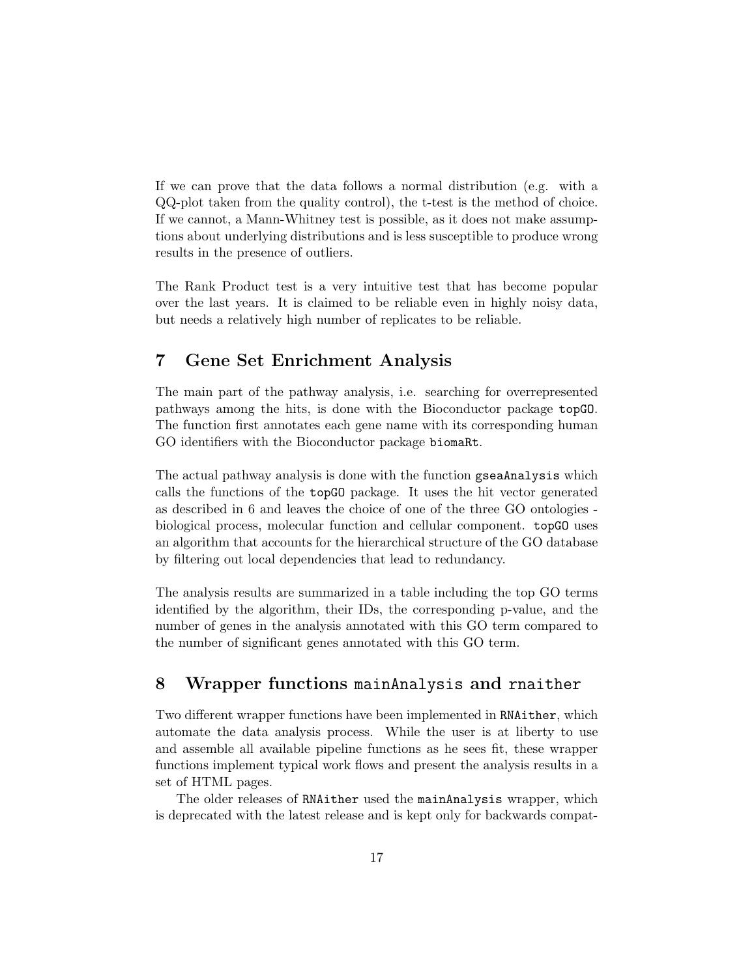If we can prove that the data follows a normal distribution (e.g. with a QQ-plot taken from the quality control), the t-test is the method of choice. If we cannot, a Mann-Whitney test is possible, as it does not make assumptions about underlying distributions and is less susceptible to produce wrong results in the presence of outliers.

The Rank Product test is a very intuitive test that has become popular over the last years. It is claimed to be reliable even in highly noisy data, but needs a relatively high number of replicates to be reliable.

# 7 Gene Set Enrichment Analysis

The main part of the pathway analysis, i.e. searching for overrepresented pathways among the hits, is done with the Bioconductor package topGO. The function first annotates each gene name with its corresponding human GO identifiers with the Bioconductor package biomaRt.

The actual pathway analysis is done with the function gseaAnalysis which calls the functions of the topGO package. It uses the hit vector generated as described in 6 and leaves the choice of one of the three GO ontologies biological process, molecular function and cellular component. topGO uses an algorithm that accounts for the hierarchical structure of the GO database by filtering out local dependencies that lead to redundancy.

The analysis results are summarized in a table including the top GO terms identified by the algorithm, their IDs, the corresponding p-value, and the number of genes in the analysis annotated with this GO term compared to the number of significant genes annotated with this GO term.

# 8 Wrapper functions mainAnalysis and rnaither

Two different wrapper functions have been implemented in RNAither, which automate the data analysis process. While the user is at liberty to use and assemble all available pipeline functions as he sees fit, these wrapper functions implement typical work flows and present the analysis results in a set of HTML pages.

The older releases of RNAither used the mainAnalysis wrapper, which is deprecated with the latest release and is kept only for backwards compat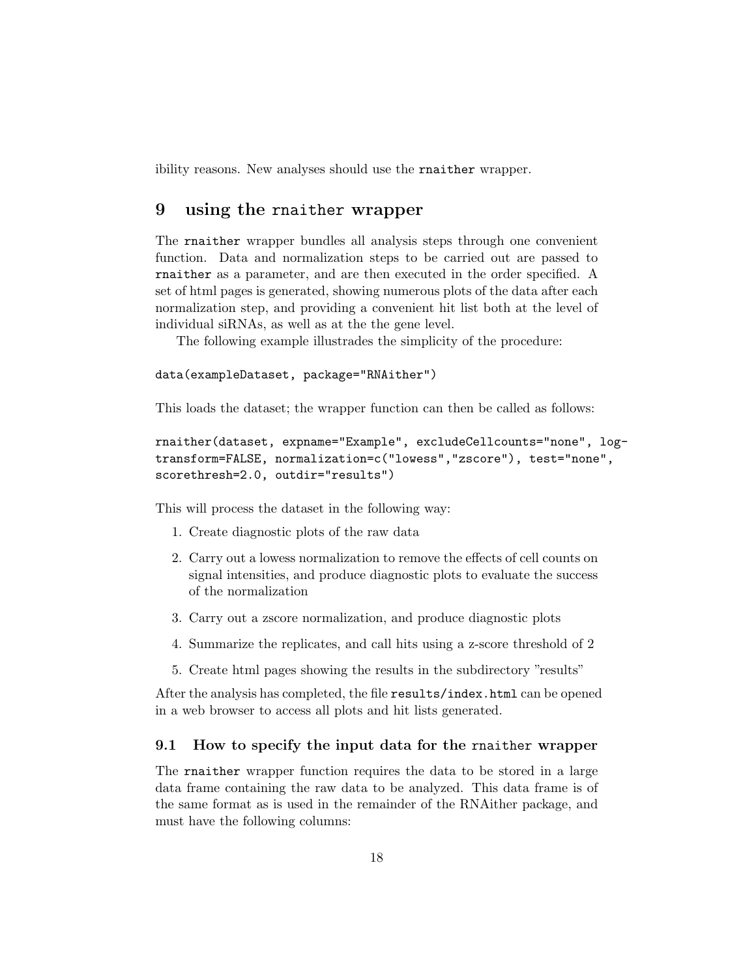ibility reasons. New analyses should use the rnaither wrapper.

### 9 using the rnaither wrapper

The rnaither wrapper bundles all analysis steps through one convenient function. Data and normalization steps to be carried out are passed to rnaither as a parameter, and are then executed in the order specified. A set of html pages is generated, showing numerous plots of the data after each normalization step, and providing a convenient hit list both at the level of individual siRNAs, as well as at the the gene level.

The following example illustrades the simplicity of the procedure:

```
data(exampleDataset, package="RNAither")
```
This loads the dataset; the wrapper function can then be called as follows:

```
rnaither(dataset, expname="Example", excludeCellcounts="none", log-
transform=FALSE, normalization=c("lowess","zscore"), test="none",
scorethresh=2.0, outdir="results")
```
This will process the dataset in the following way:

- 1. Create diagnostic plots of the raw data
- 2. Carry out a lowess normalization to remove the effects of cell counts on signal intensities, and produce diagnostic plots to evaluate the success of the normalization
- 3. Carry out a zscore normalization, and produce diagnostic plots
- 4. Summarize the replicates, and call hits using a z-score threshold of 2
- 5. Create html pages showing the results in the subdirectory "results"

After the analysis has completed, the file results/index.html can be opened in a web browser to access all plots and hit lists generated.

#### 9.1 How to specify the input data for the rnaither wrapper

The rnaither wrapper function requires the data to be stored in a large data frame containing the raw data to be analyzed. This data frame is of the same format as is used in the remainder of the RNAither package, and must have the following columns: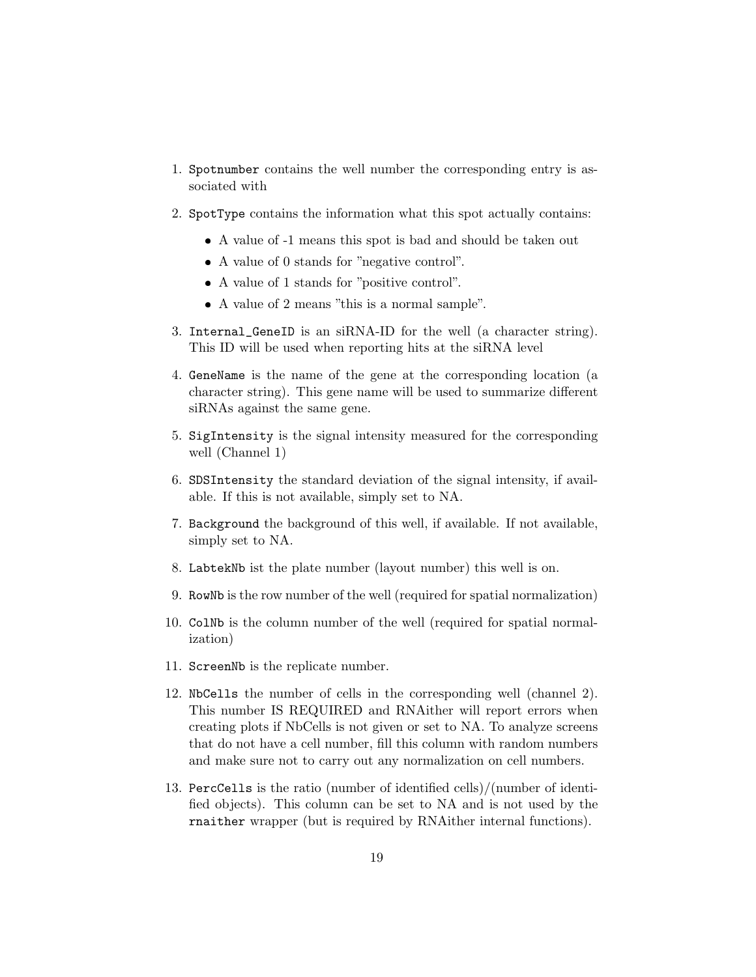- 1. Spotnumber contains the well number the corresponding entry is associated with
- 2. SpotType contains the information what this spot actually contains:
	- A value of -1 means this spot is bad and should be taken out
	- A value of 0 stands for "negative control".
	- A value of 1 stands for "positive control".
	- A value of 2 means "this is a normal sample".
- 3. Internal\_GeneID is an siRNA-ID for the well (a character string). This ID will be used when reporting hits at the siRNA level
- 4. GeneName is the name of the gene at the corresponding location (a character string). This gene name will be used to summarize different siRNAs against the same gene.
- 5. SigIntensity is the signal intensity measured for the corresponding well (Channel 1)
- 6. SDSIntensity the standard deviation of the signal intensity, if available. If this is not available, simply set to NA.
- 7. Background the background of this well, if available. If not available, simply set to NA.
- 8. LabtekNb ist the plate number (layout number) this well is on.
- 9. RowNb is the row number of the well (required for spatial normalization)
- 10. ColNb is the column number of the well (required for spatial normalization)
- 11. ScreenNb is the replicate number.
- 12. NbCells the number of cells in the corresponding well (channel 2). This number IS REQUIRED and RNAither will report errors when creating plots if NbCells is not given or set to NA. To analyze screens that do not have a cell number, fill this column with random numbers and make sure not to carry out any normalization on cell numbers.
- 13. PercCells is the ratio (number of identified cells)/(number of identified objects). This column can be set to NA and is not used by the rnaither wrapper (but is required by RNAither internal functions).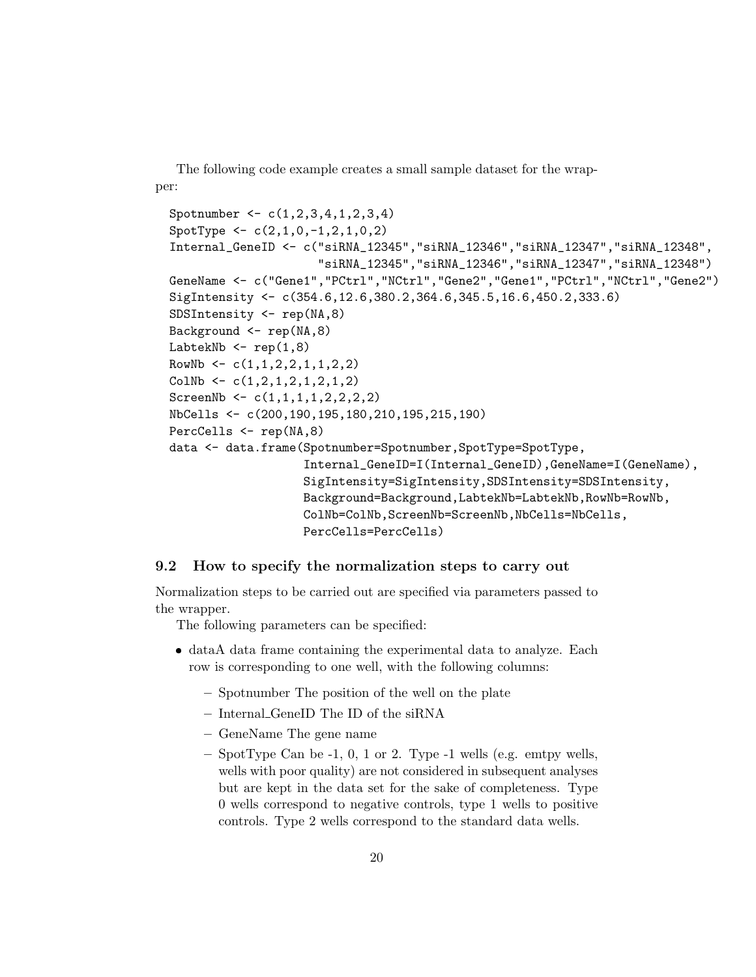The following code example creates a small sample dataset for the wrapper:

```
Spotnumber <- c(1,2,3,4,1,2,3,4)
SpotType \leq c(2,1,0,-1,2,1,0,2)Internal_GeneID <- c("siRNA_12345","siRNA_12346","siRNA_12347","siRNA_12348",
                     "siRNA_12345","siRNA_12346","siRNA_12347","siRNA_12348")
GeneName <- c("Gene1","PCtrl","NCtrl","Gene2","Gene1","PCtrl","NCtrl","Gene2")
SigIntensity <- c(354.6,12.6,380.2,364.6,345.5,16.6,450.2,333.6)
SDSIntensity <- rep(NA,8)
Background <- rep(NA,8)
LabtekNb \leq rep(1,8)RowNb \leq c(1,1,2,2,1,1,2,2)ColNb \leftarrow c(1,2,1,2,1,2,1,2)ScreenNb <- c(1,1,1,1,2,2,2,2)NbCells <- c(200,190,195,180,210,195,215,190)
PercCells <- rep(NA,8)
data <- data.frame(Spotnumber=Spotnumber,SpotType=SpotType,
                   Internal_GeneID=I(Internal_GeneID),GeneName=I(GeneName),
                   SigIntensity=SigIntensity,SDSIntensity=SDSIntensity,
                   Background=Background,LabtekNb=LabtekNb,RowNb=RowNb,
                   ColNb=ColNb,ScreenNb=ScreenNb,NbCells=NbCells,
                   PercCells=PercCells)
```
#### 9.2 How to specify the normalization steps to carry out

Normalization steps to be carried out are specified via parameters passed to the wrapper.

The following parameters can be specified:

- dataA data frame containing the experimental data to analyze. Each row is corresponding to one well, with the following columns:
	- Spotnumber The position of the well on the plate
	- Internal GeneID The ID of the siRNA
	- GeneName The gene name
	- $-$  SpotType Can be -1, 0, 1 or 2. Type -1 wells (e.g. emtpy wells, wells with poor quality) are not considered in subsequent analyses but are kept in the data set for the sake of completeness. Type 0 wells correspond to negative controls, type 1 wells to positive controls. Type 2 wells correspond to the standard data wells.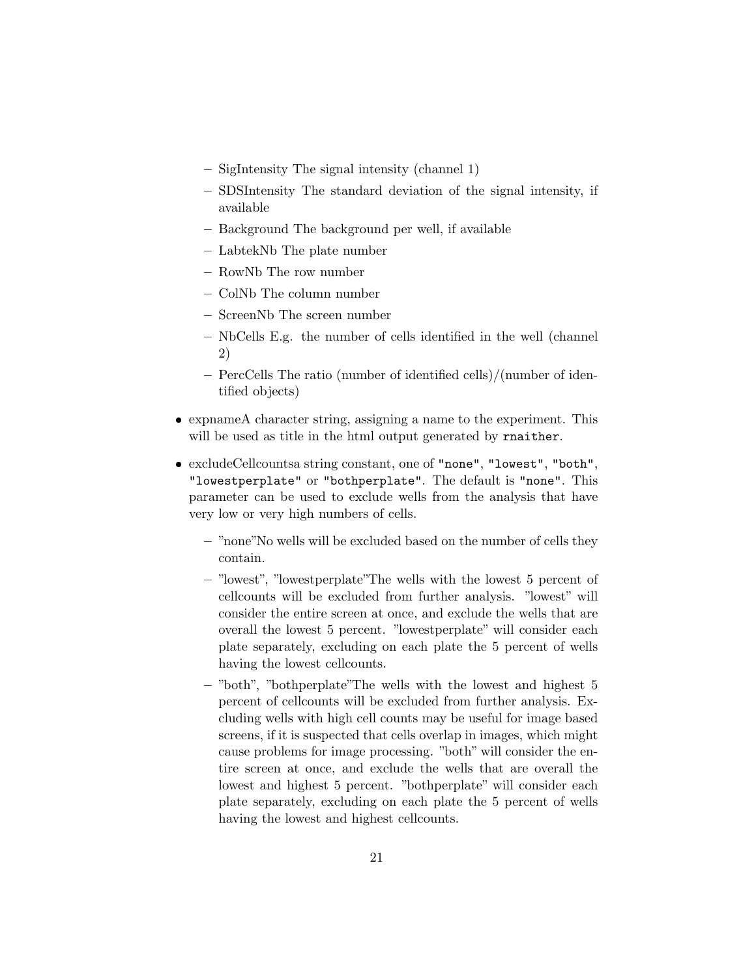- SigIntensity The signal intensity (channel 1)
- SDSIntensity The standard deviation of the signal intensity, if available
- Background The background per well, if available
- LabtekNb The plate number
- RowNb The row number
- ColNb The column number
- ScreenNb The screen number
- NbCells E.g. the number of cells identified in the well (channel 2)
- PercCells The ratio (number of identified cells)/(number of identified objects)
- expnameA character string, assigning a name to the experiment. This will be used as title in the html output generated by **rnaither**.
- excludeCellcountsa string constant, one of "none", "lowest", "both", "lowestperplate" or "bothperplate". The default is "none". This parameter can be used to exclude wells from the analysis that have very low or very high numbers of cells.
	- "none"No wells will be excluded based on the number of cells they contain.
	- "lowest", "lowestperplate"The wells with the lowest 5 percent of cellcounts will be excluded from further analysis. "lowest" will consider the entire screen at once, and exclude the wells that are overall the lowest 5 percent. "lowestperplate" will consider each plate separately, excluding on each plate the 5 percent of wells having the lowest cellcounts.
	- "both", "bothperplate"The wells with the lowest and highest 5 percent of cellcounts will be excluded from further analysis. Excluding wells with high cell counts may be useful for image based screens, if it is suspected that cells overlap in images, which might cause problems for image processing. "both" will consider the entire screen at once, and exclude the wells that are overall the lowest and highest 5 percent. "bothperplate" will consider each plate separately, excluding on each plate the 5 percent of wells having the lowest and highest cellcounts.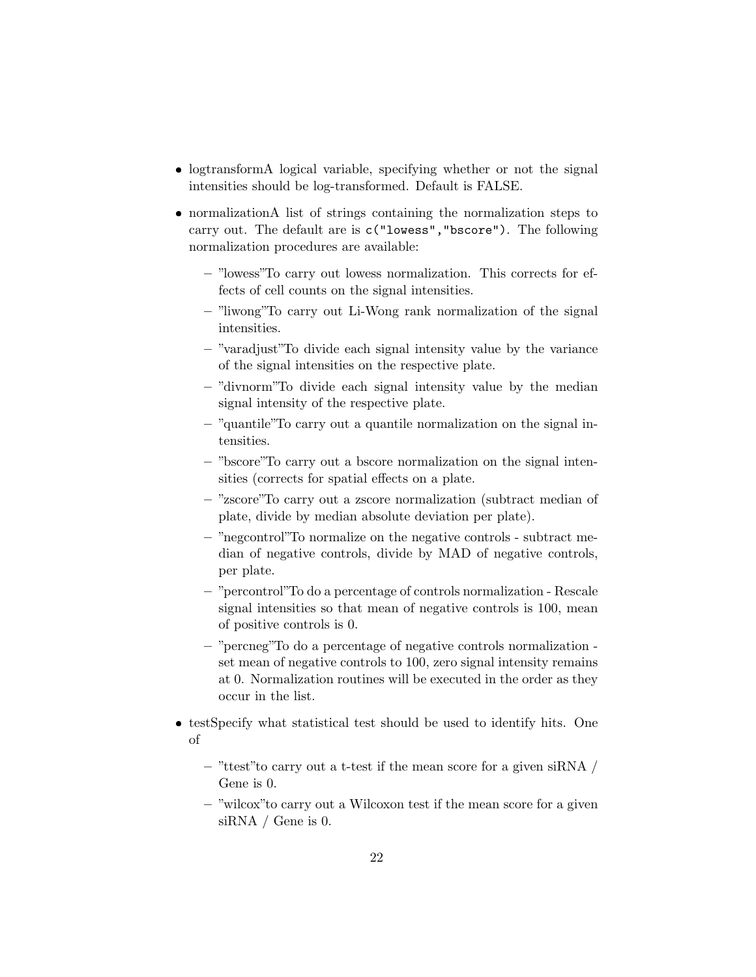- logtransformA logical variable, specifying whether or not the signal intensities should be log-transformed. Default is FALSE.
- normalizationA list of strings containing the normalization steps to carry out. The default are is c("lowess","bscore"). The following normalization procedures are available:
	- "lowess"To carry out lowess normalization. This corrects for effects of cell counts on the signal intensities.
	- "liwong"To carry out Li-Wong rank normalization of the signal intensities.
	- "varadjust"To divide each signal intensity value by the variance of the signal intensities on the respective plate.
	- "divnorm"To divide each signal intensity value by the median signal intensity of the respective plate.
	- "quantile"To carry out a quantile normalization on the signal intensities.
	- "bscore"To carry out a bscore normalization on the signal intensities (corrects for spatial effects on a plate.
	- "zscore"To carry out a zscore normalization (subtract median of plate, divide by median absolute deviation per plate).
	- "negcontrol"To normalize on the negative controls subtract median of negative controls, divide by MAD of negative controls, per plate.
	- "percontrol"To do a percentage of controls normalization Rescale signal intensities so that mean of negative controls is 100, mean of positive controls is 0.
	- "percneg"To do a percentage of negative controls normalization set mean of negative controls to 100, zero signal intensity remains at 0. Normalization routines will be executed in the order as they occur in the list.
- testSpecify what statistical test should be used to identify hits. One of
	- $-$  "ttest" to carry out a t-test if the mean score for a given siRNA / Gene is 0.
	- "wilcox"to carry out a Wilcoxon test if the mean score for a given siRNA / Gene is 0.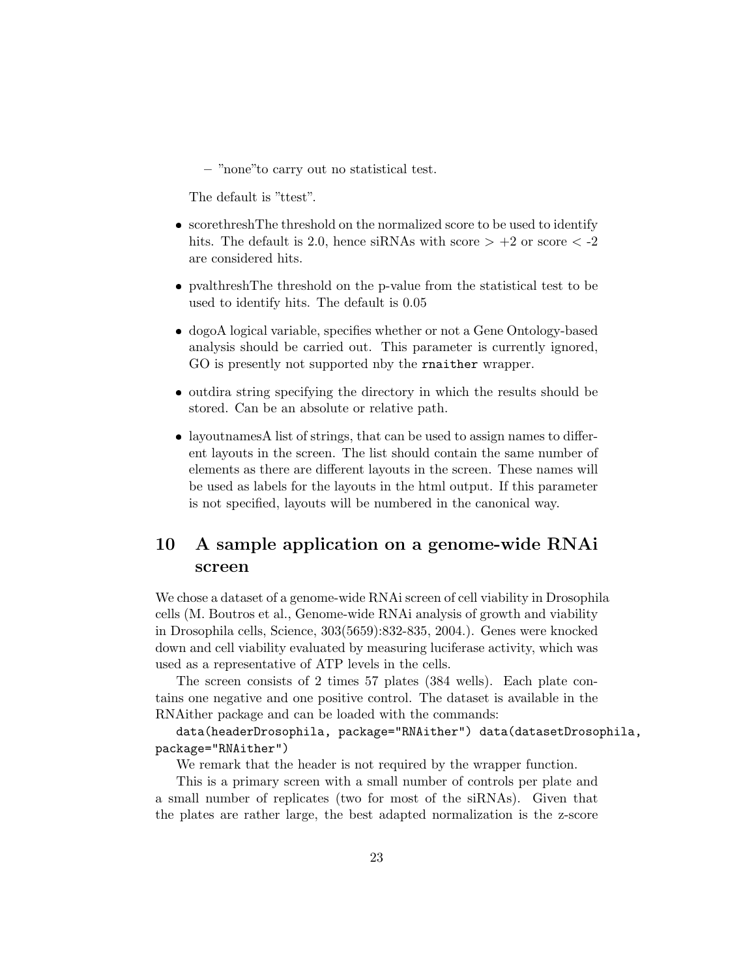– "none"to carry out no statistical test.

The default is "ttest".

- scorethreshThe threshold on the normalized score to be used to identify hits. The default is 2.0, hence siRNAs with score  $> +2$  or score  $< -2$ are considered hits.
- pvalthreshThe threshold on the p-value from the statistical test to be used to identify hits. The default is 0.05
- dogoA logical variable, specifies whether or not a Gene Ontology-based analysis should be carried out. This parameter is currently ignored, GO is presently not supported nby the **rnaither** wrapper.
- outdira string specifying the directory in which the results should be stored. Can be an absolute or relative path.
- layoutnamesA list of strings, that can be used to assign names to different layouts in the screen. The list should contain the same number of elements as there are different layouts in the screen. These names will be used as labels for the layouts in the html output. If this parameter is not specified, layouts will be numbered in the canonical way.

# 10 A sample application on a genome-wide RNAi screen

We chose a dataset of a genome-wide RNAi screen of cell viability in Drosophila cells (M. Boutros et al., Genome-wide RNAi analysis of growth and viability in Drosophila cells, Science, 303(5659):832-835, 2004.). Genes were knocked down and cell viability evaluated by measuring luciferase activity, which was used as a representative of ATP levels in the cells.

The screen consists of 2 times 57 plates (384 wells). Each plate contains one negative and one positive control. The dataset is available in the RNAither package and can be loaded with the commands:

data(headerDrosophila, package="RNAither") data(datasetDrosophila, package="RNAither")

We remark that the header is not required by the wrapper function.

This is a primary screen with a small number of controls per plate and a small number of replicates (two for most of the siRNAs). Given that the plates are rather large, the best adapted normalization is the z-score